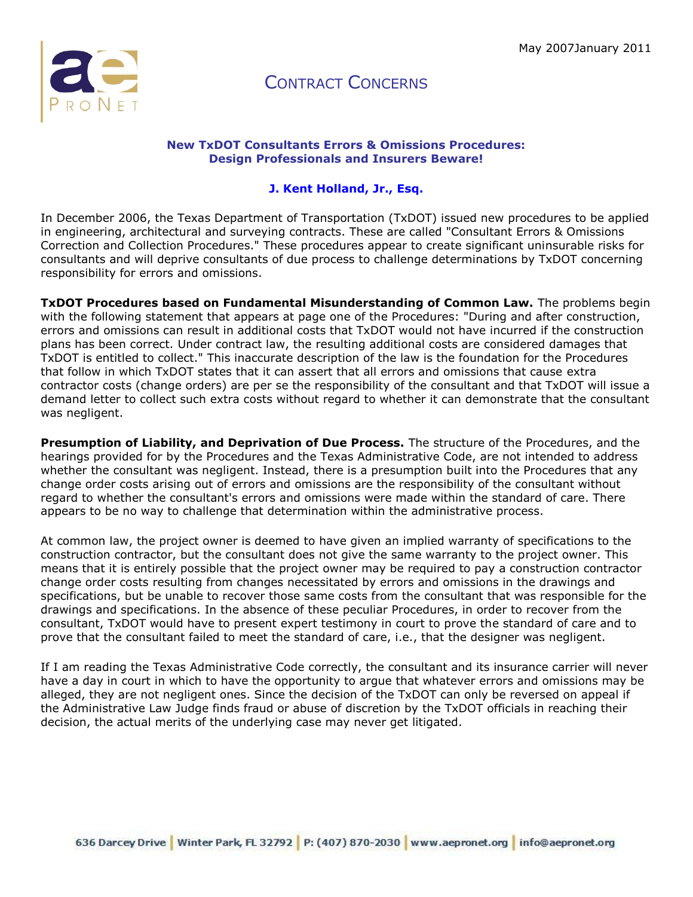

#### **New TxDOT Consultants Errors & Omissions Procedures: Design Professionals and Insurers Beware!**

### **J. Kent Holland, Jr., Esq.**

In December 2006, the Texas Department of Transportation (TxDOT) issued new procedures to be applied in engineering, architectural and surveying contracts. These are called "Consultant Errors & Omissions Correction and Collection Procedures." These procedures appear to create significant uninsurable risks for consultants and will deprive consultants of due process to challenge determinations by TxDOT concerning responsibility for errors and omissions.

**TxDOT Procedures based on Fundamental Misunderstanding of Common Law.** The problems begin with the following statement that appears at page one of the Procedures: "During and after construction, errors and omissions can result in additional costs that TxDOT would not have incurred if the construction plans has been correct. Under contract law, the resulting additional costs are considered damages that TxDOT is entitled to collect." This inaccurate description of the law is the foundation for the Procedures that follow in which TxDOT states that it can assert that all errors and omissions that cause extra contractor costs (change orders) are per se the responsibility of the consultant and that TxDOT will issue a demand letter to collect such extra costs without regard to whether it can demonstrate that the consultant was negligent.

**Presumption of Liability, and Deprivation of Due Process.** The structure of the Procedures, and the hearings provided for by the Procedures and the Texas Administrative Code, are not intended to address whether the consultant was negligent. Instead, there is a presumption built into the Procedures that any change order costs arising out of errors and omissions are the responsibility of the consultant without regard to whether the consultant's errors and omissions were made within the standard of care. There appears to be no way to challenge that determination within the administrative process.

At common law, the project owner is deemed to have given an implied warranty of specifications to the construction contractor, but the consultant does not give the same warranty to the project owner. This means that it is entirely possible that the project owner may be required to pay a construction contractor change order costs resulting from changes necessitated by errors and omissions in the drawings and specifications, but be unable to recover those same costs from the consultant that was responsible for the drawings and specifications. In the absence of these peculiar Procedures, in order to recover from the consultant, TxDOT would have to present expert testimony in court to prove the standard of care and to prove that the consultant failed to meet the standard of care, i.e., that the designer was negligent.

If I am reading the Texas Administrative Code correctly, the consultant and its insurance carrier will never have a day in court in which to have the opportunity to argue that whatever errors and omissions may be alleged, they are not negligent ones. Since the decision of the TxDOT can only be reversed on appeal if the Administrative Law Judge finds fraud or abuse of discretion by the TxDOT officials in reaching their decision, the actual merits of the underlying case may never get litigated.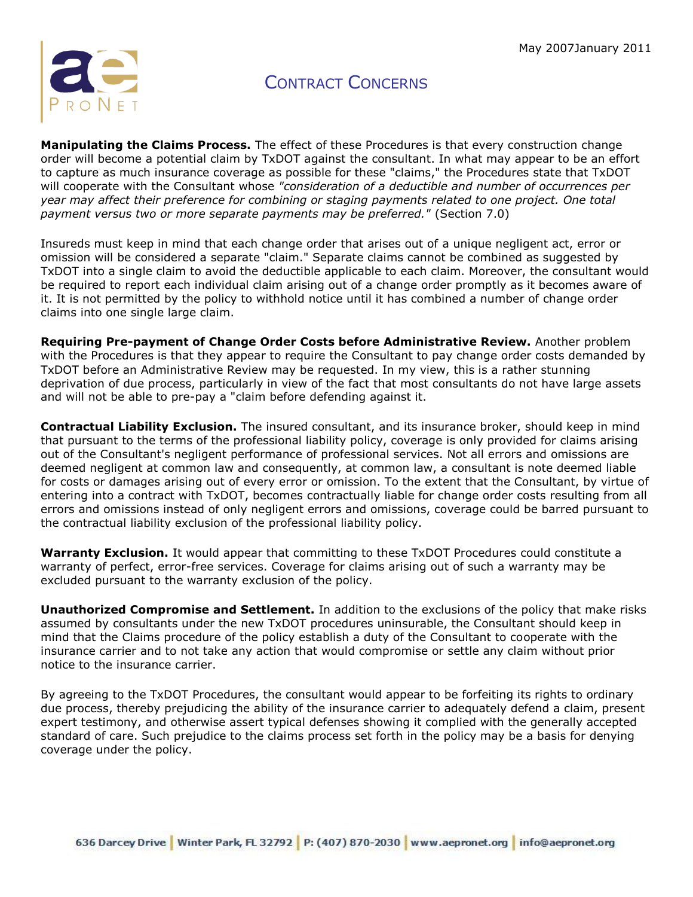

**Manipulating the Claims Process.** The effect of these Procedures is that every construction change order will become a potential claim by TxDOT against the consultant. In what may appear to be an effort to capture as much insurance coverage as possible for these "claims," the Procedures state that TxDOT will cooperate with the Consultant whose *"consideration of a deductible and number of occurrences per year may affect their preference for combining or staging payments related to one project. One total payment versus two or more separate payments may be preferred."* (Section 7.0)

Insureds must keep in mind that each change order that arises out of a unique negligent act, error or omission will be considered a separate "claim." Separate claims cannot be combined as suggested by TxDOT into a single claim to avoid the deductible applicable to each claim. Moreover, the consultant would be required to report each individual claim arising out of a change order promptly as it becomes aware of it. It is not permitted by the policy to withhold notice until it has combined a number of change order claims into one single large claim.

**Requiring Pre-payment of Change Order Costs before Administrative Review.** Another problem with the Procedures is that they appear to require the Consultant to pay change order costs demanded by TxDOT before an Administrative Review may be requested. In my view, this is a rather stunning deprivation of due process, particularly in view of the fact that most consultants do not have large assets and will not be able to pre-pay a "claim before defending against it.

**Contractual Liability Exclusion.** The insured consultant, and its insurance broker, should keep in mind that pursuant to the terms of the professional liability policy, coverage is only provided for claims arising out of the Consultant's negligent performance of professional services. Not all errors and omissions are deemed negligent at common law and consequently, at common law, a consultant is note deemed liable for costs or damages arising out of every error or omission. To the extent that the Consultant, by virtue of entering into a contract with TxDOT, becomes contractually liable for change order costs resulting from all errors and omissions instead of only negligent errors and omissions, coverage could be barred pursuant to the contractual liability exclusion of the professional liability policy.

**Warranty Exclusion.** It would appear that committing to these TxDOT Procedures could constitute a warranty of perfect, error-free services. Coverage for claims arising out of such a warranty may be excluded pursuant to the warranty exclusion of the policy.

**Unauthorized Compromise and Settlement.** In addition to the exclusions of the policy that make risks assumed by consultants under the new TxDOT procedures uninsurable, the Consultant should keep in mind that the Claims procedure of the policy establish a duty of the Consultant to cooperate with the insurance carrier and to not take any action that would compromise or settle any claim without prior notice to the insurance carrier.

By agreeing to the TxDOT Procedures, the consultant would appear to be forfeiting its rights to ordinary due process, thereby prejudicing the ability of the insurance carrier to adequately defend a claim, present expert testimony, and otherwise assert typical defenses showing it complied with the generally accepted standard of care. Such prejudice to the claims process set forth in the policy may be a basis for denying coverage under the policy.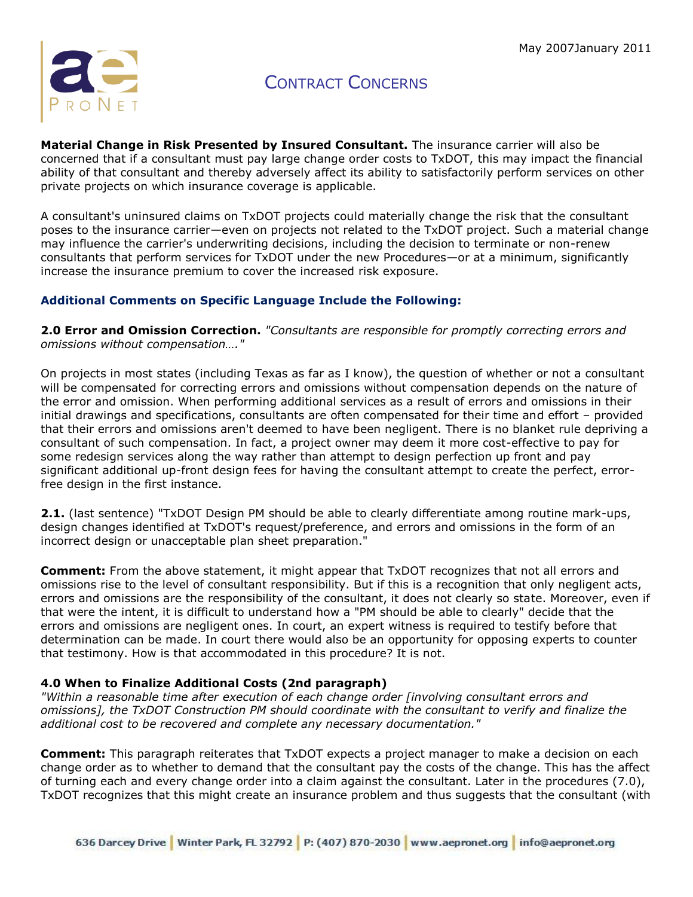

**Material Change in Risk Presented by Insured Consultant.** The insurance carrier will also be concerned that if a consultant must pay large change order costs to TxDOT, this may impact the financial ability of that consultant and thereby adversely affect its ability to satisfactorily perform services on other private projects on which insurance coverage is applicable.

A consultant's uninsured claims on TxDOT projects could materially change the risk that the consultant poses to the insurance carrier—even on projects not related to the TxDOT project. Such a material change may influence the carrier's underwriting decisions, including the decision to terminate or non-renew consultants that perform services for TxDOT under the new Procedures—or at a minimum, significantly increase the insurance premium to cover the increased risk exposure.

### **Additional Comments on Specific Language Include the Following:**

**2.0 Error and Omission Correction.** *"Consultants are responsible for promptly correcting errors and omissions without compensation…."*

On projects in most states (including Texas as far as I know), the question of whether or not a consultant will be compensated for correcting errors and omissions without compensation depends on the nature of the error and omission. When performing additional services as a result of errors and omissions in their initial drawings and specifications, consultants are often compensated for their time and effort – provided that their errors and omissions aren't deemed to have been negligent. There is no blanket rule depriving a consultant of such compensation. In fact, a project owner may deem it more cost-effective to pay for some redesign services along the way rather than attempt to design perfection up front and pay significant additional up-front design fees for having the consultant attempt to create the perfect, errorfree design in the first instance.

**2.1.** (last sentence) "TxDOT Design PM should be able to clearly differentiate among routine mark-ups, design changes identified at TxDOT's request/preference, and errors and omissions in the form of an incorrect design or unacceptable plan sheet preparation."

**Comment:** From the above statement, it might appear that TxDOT recognizes that not all errors and omissions rise to the level of consultant responsibility. But if this is a recognition that only negligent acts, errors and omissions are the responsibility of the consultant, it does not clearly so state. Moreover, even if that were the intent, it is difficult to understand how a "PM should be able to clearly" decide that the errors and omissions are negligent ones. In court, an expert witness is required to testify before that determination can be made. In court there would also be an opportunity for opposing experts to counter that testimony. How is that accommodated in this procedure? It is not.

### **4.0 When to Finalize Additional Costs (2nd paragraph)**

*"Within a reasonable time after execution of each change order [involving consultant errors and omissions], the TxDOT Construction PM should coordinate with the consultant to verify and finalize the additional cost to be recovered and complete any necessary documentation."*

**Comment:** This paragraph reiterates that TxDOT expects a project manager to make a decision on each change order as to whether to demand that the consultant pay the costs of the change. This has the affect of turning each and every change order into a claim against the consultant. Later in the procedures (7.0), TxDOT recognizes that this might create an insurance problem and thus suggests that the consultant (with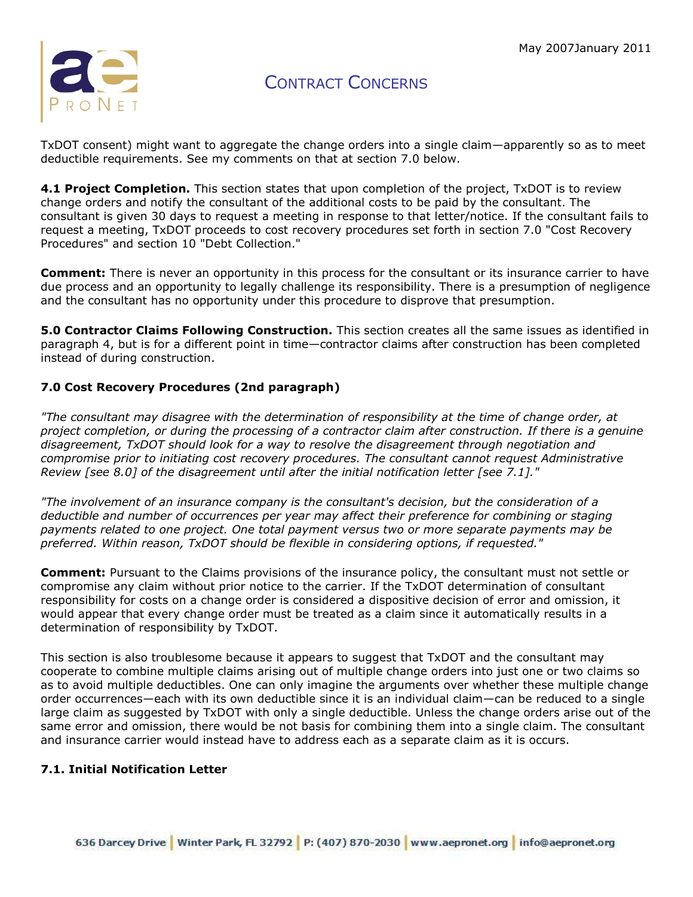

TxDOT consent) might want to aggregate the change orders into a single claim—apparently so as to meet deductible requirements. See my comments on that at section 7.0 below.

**4.1 Project Completion.** This section states that upon completion of the project, TxDOT is to review change orders and notify the consultant of the additional costs to be paid by the consultant. The consultant is given 30 days to request a meeting in response to that letter/notice. If the consultant fails to request a meeting, TxDOT proceeds to cost recovery procedures set forth in section 7.0 "Cost Recovery Procedures" and section 10 "Debt Collection."

**Comment:** There is never an opportunity in this process for the consultant or its insurance carrier to have due process and an opportunity to legally challenge its responsibility. There is a presumption of negligence and the consultant has no opportunity under this procedure to disprove that presumption.

**5.0 Contractor Claims Following Construction.** This section creates all the same issues as identified in paragraph 4, but is for a different point in time—contractor claims after construction has been completed instead of during construction.

### **7.0 Cost Recovery Procedures (2nd paragraph)**

*"The consultant may disagree with the determination of responsibility at the time of change order, at project completion, or during the processing of a contractor claim after construction. If there is a genuine disagreement, TxDOT should look for a way to resolve the disagreement through negotiation and compromise prior to initiating cost recovery procedures. The consultant cannot request Administrative Review [see 8.0] of the disagreement until after the initial notification letter [see 7.1]."*

*"The involvement of an insurance company is the consultant's decision, but the consideration of a deductible and number of occurrences per year may affect their preference for combining or staging payments related to one project. One total payment versus two or more separate payments may be preferred. Within reason, TxDOT should be flexible in considering options, if requested."*

**Comment:** Pursuant to the Claims provisions of the insurance policy, the consultant must not settle or compromise any claim without prior notice to the carrier. If the TxDOT determination of consultant responsibility for costs on a change order is considered a dispositive decision of error and omission, it would appear that every change order must be treated as a claim since it automatically results in a determination of responsibility by TxDOT.

This section is also troublesome because it appears to suggest that TxDOT and the consultant may cooperate to combine multiple claims arising out of multiple change orders into just one or two claims so as to avoid multiple deductibles. One can only imagine the arguments over whether these multiple change order occurrences—each with its own deductible since it is an individual claim—can be reduced to a single large claim as suggested by TxDOT with only a single deductible. Unless the change orders arise out of the same error and omission, there would be not basis for combining them into a single claim. The consultant and insurance carrier would instead have to address each as a separate claim as it is occurs.

### **7.1. Initial Notification Letter**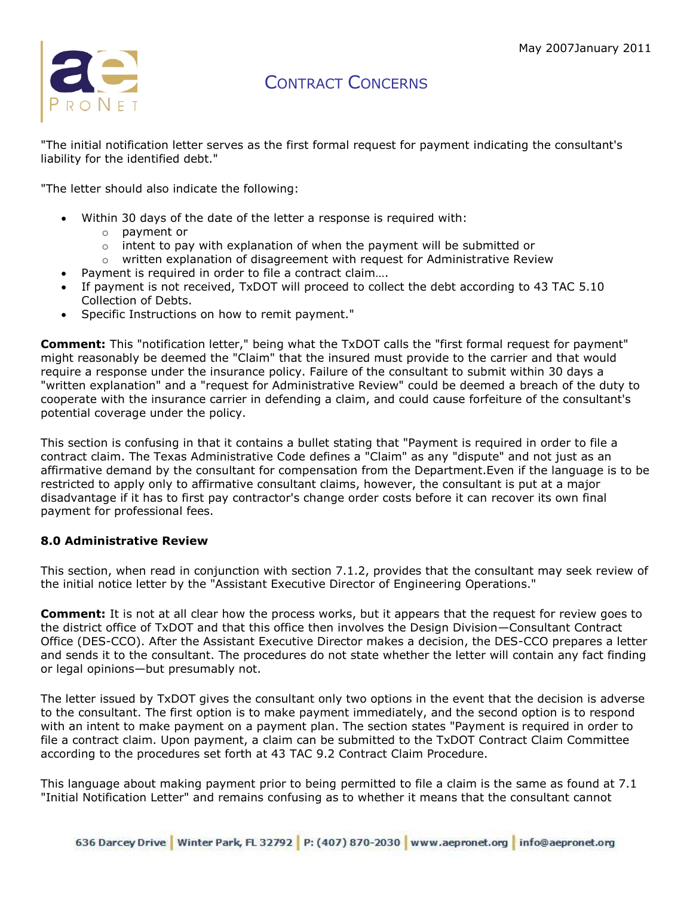

"The initial notification letter serves as the first formal request for payment indicating the consultant's liability for the identified debt."

"The letter should also indicate the following:

- Within 30 days of the date of the letter a response is required with:
	- o payment or
	- $\circ$  intent to pay with explanation of when the payment will be submitted or
	- $\circ$  written explanation of disagreement with request for Administrative Review
	- Payment is required in order to file a contract claim….
- If payment is not received, TxDOT will proceed to collect the debt according to 43 TAC 5.10 Collection of Debts.
- Specific Instructions on how to remit payment."

**Comment:** This "notification letter," being what the TxDOT calls the "first formal request for payment" might reasonably be deemed the "Claim" that the insured must provide to the carrier and that would require a response under the insurance policy. Failure of the consultant to submit within 30 days a "written explanation" and a "request for Administrative Review" could be deemed a breach of the duty to cooperate with the insurance carrier in defending a claim, and could cause forfeiture of the consultant's potential coverage under the policy.

This section is confusing in that it contains a bullet stating that "Payment is required in order to file a contract claim. The Texas Administrative Code defines a "Claim" as any "dispute" and not just as an affirmative demand by the consultant for compensation from the Department.Even if the language is to be restricted to apply only to affirmative consultant claims, however, the consultant is put at a major disadvantage if it has to first pay contractor's change order costs before it can recover its own final payment for professional fees.

### **8.0 Administrative Review**

This section, when read in conjunction with section 7.1.2, provides that the consultant may seek review of the initial notice letter by the "Assistant Executive Director of Engineering Operations."

**Comment:** It is not at all clear how the process works, but it appears that the request for review goes to the district office of TxDOT and that this office then involves the Design Division—Consultant Contract Office (DES-CCO). After the Assistant Executive Director makes a decision, the DES-CCO prepares a letter and sends it to the consultant. The procedures do not state whether the letter will contain any fact finding or legal opinions—but presumably not.

The letter issued by TxDOT gives the consultant only two options in the event that the decision is adverse to the consultant. The first option is to make payment immediately, and the second option is to respond with an intent to make payment on a payment plan. The section states "Payment is required in order to file a contract claim. Upon payment, a claim can be submitted to the TxDOT Contract Claim Committee according to the procedures set forth at 43 TAC 9.2 Contract Claim Procedure.

This language about making payment prior to being permitted to file a claim is the same as found at 7.1 "Initial Notification Letter" and remains confusing as to whether it means that the consultant cannot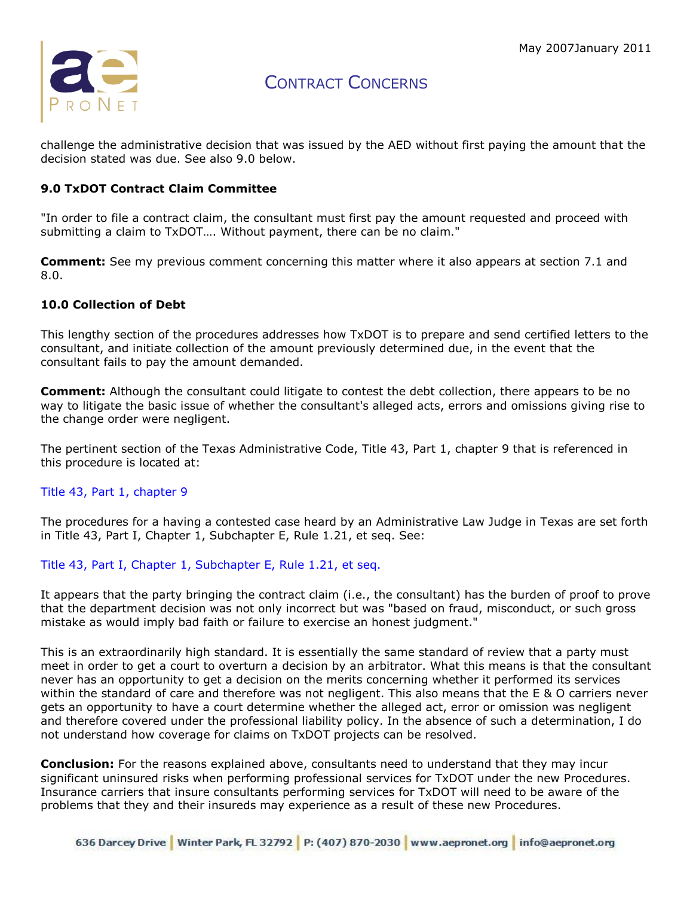

challenge the administrative decision that was issued by the AED without first paying the amount that the decision stated was due. See also 9.0 below.

#### **9.0 TxDOT Contract Claim Committee**

"In order to file a contract claim, the consultant must first pay the amount requested and proceed with submitting a claim to TxDOT…. Without payment, there can be no claim."

**Comment:** See my previous comment concerning this matter where it also appears at section 7.1 and 8.0.

#### **10.0 Collection of Debt**

This lengthy section of the procedures addresses how TxDOT is to prepare and send certified letters to the consultant, and initiate collection of the amount previously determined due, in the event that the consultant fails to pay the amount demanded.

**Comment:** Although the consultant could litigate to contest the debt collection, there appears to be no way to litigate the basic issue of whether the consultant's alleged acts, errors and omissions giving rise to the change order were negligent.

The pertinent section of the Texas Administrative Code, Title 43, Part 1, chapter 9 that is referenced in this procedure is located at:

#### [Title 43, Part 1, chapter 9](http://info.sos.state.tx.us/pls/pub/readtac$ext.TacPage?sl=R&app=9&p_dir=&p_rloc=&p_tloc=&p_ploc=&pg=1&p_tac=&ti=43&pt=1&ch=9&rl=2)

The procedures for a having a contested case heard by an Administrative Law Judge in Texas are set forth in Title 43, Part I, Chapter 1, Subchapter E, Rule 1.21, et seq. See:

#### [Title 43, Part I, Chapter 1, Subchapter E, Rule 1.21, et seq.](http://info.sos.state.tx.us/pls/pub/readtac$ext.TacPage?sl=T&app=9&p_dir=N&p_rloc=119113&p_tloc=&p_ploc=1&pg=7&p_tac=&ti=43&pt=1&ch=1&rl=2)

It appears that the party bringing the contract claim (i.e., the consultant) has the burden of proof to prove that the department decision was not only incorrect but was "based on fraud, misconduct, or such gross mistake as would imply bad faith or failure to exercise an honest judgment."

This is an extraordinarily high standard. It is essentially the same standard of review that a party must meet in order to get a court to overturn a decision by an arbitrator. What this means is that the consultant never has an opportunity to get a decision on the merits concerning whether it performed its services within the standard of care and therefore was not negligent. This also means that the E & O carriers never gets an opportunity to have a court determine whether the alleged act, error or omission was negligent and therefore covered under the professional liability policy. In the absence of such a determination, I do not understand how coverage for claims on TxDOT projects can be resolved.

**Conclusion:** For the reasons explained above, consultants need to understand that they may incur significant uninsured risks when performing professional services for TxDOT under the new Procedures. Insurance carriers that insure consultants performing services for TxDOT will need to be aware of the problems that they and their insureds may experience as a result of these new Procedures.